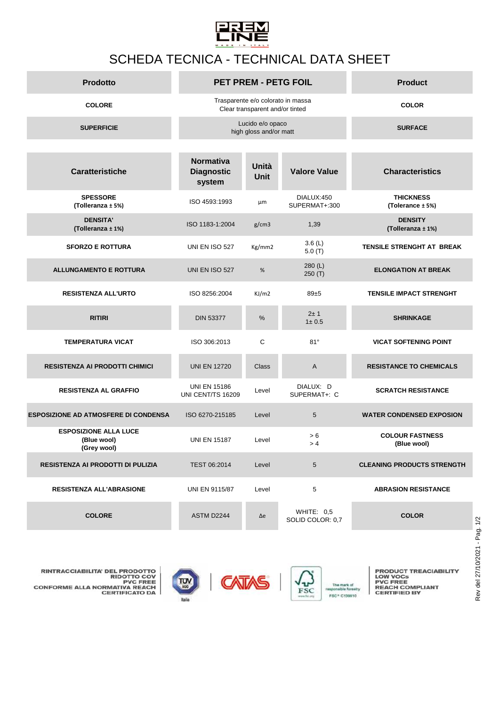

## SCHEDA TECNICA - TECHNICAL DATA SHEET

| <b>Prodotto</b>   | <b>PET PREM - PETG FOIL</b>                                          | <b>Product</b> |
|-------------------|----------------------------------------------------------------------|----------------|
| <b>COLORE</b>     | Trasparente e/o colorato in massa<br>Clear transparent and/or tinted | <b>COLOR</b>   |
| <b>SUPERFICIE</b> | Lucido e/o opaco<br>high gloss and/or matt                           | <b>SURFACE</b> |

| <b>Caratteristiche</b>                                     | <b>Normativa</b><br><b>Diagnostic</b><br>system | Unità<br><b>Unit</b> | <b>Valore Value</b>              | <b>Characteristics</b>                |
|------------------------------------------------------------|-------------------------------------------------|----------------------|----------------------------------|---------------------------------------|
| <b>SPESSORE</b><br>(Tolleranza ± 5%)                       | ISO 4593:1993                                   | μm                   | DIALUX:450<br>SUPERMAT+:300      | <b>THICKNESS</b><br>(Tolerance ± 5%)  |
| <b>DENSITA'</b><br>(Tolleranza ± 1%)                       | ISO 1183-1:2004                                 | g/cm3                | 1,39                             | <b>DENSITY</b><br>(Tolleranza ± 1%)   |
| <b>SFORZO E ROTTURA</b>                                    | <b>UNI EN ISO 527</b>                           | Kg/mm2               | 3.6 $(L)$<br>5.0(T)              | <b>TENSILE STRENGHT AT BREAK</b>      |
| <b>ALLUNGAMENTO E ROTTURA</b>                              | UNI EN ISO 527                                  | %                    | 280(L)<br>250(T)                 | <b>ELONGATION AT BREAK</b>            |
| <b>RESISTENZA ALL'URTO</b>                                 | ISO 8256:2004                                   | KJ/m2                | $89 + 5$                         | <b>TENSILE IMPACT STRENGHT</b>        |
| <b>RITIRI</b>                                              | <b>DIN 53377</b>                                | $\frac{0}{0}$        | $2 + 1$<br>1 ± 0.5               | <b>SHRINKAGE</b>                      |
| <b>TEMPERATURA VICAT</b>                                   | ISO 306:2013                                    | $\mathsf{C}$         | $81^\circ$                       | <b>VICAT SOFTENING POINT</b>          |
| <b>RESISTENZA AI PRODOTTI CHIMICI</b>                      | <b>UNI EN 12720</b>                             | <b>Class</b>         | A                                | <b>RESISTANCE TO CHEMICALS</b>        |
| <b>RESISTENZA AL GRAFFIO</b>                               | <b>UNI EN 15186</b><br>UNI CENT/TS 16209        | Level                | DIALUX: D<br>SUPERMAT+: C        | <b>SCRATCH RESISTANCE</b>             |
| <b>ESPOSIZIONE AD ATMOSFERE DI CONDENSA</b>                | ISO 6270-215185                                 | Level                | 5                                | <b>WATER CONDENSED EXPOSION</b>       |
| <b>ESPOSIZIONE ALLA LUCE</b><br>(Blue wool)<br>(Grey wool) | <b>UNI EN 15187</b>                             | Level                | > 6<br>> 4                       | <b>COLOUR FASTNESS</b><br>(Blue wool) |
| <b>RESISTENZA AI PRODOTTI DI PULIZIA</b>                   | TEST 06:2014                                    | Level                | 5                                | <b>CLEANING PRODUCTS STRENGTH</b>     |
| <b>RESISTENZA ALL'ABRASIONE</b>                            | UNI EN 9115/87                                  | Level                | 5                                | <b>ABRASION RESISTANCE</b>            |
| <b>COLORE</b>                                              | ASTM D2244                                      | $\Delta e$           | WHITE: $0.5$<br>SOLID COLOR: 0,7 | <b>COLOR</b>                          |

**PRODUCT TREACIABILITY<br>LOW VOCs<br>PVC FREE<br>REACH COMPLIANT<br>CERTIFIED BY** 



**EN** 

 $\sqrt{v}$ 

The mark of<br>ponsible forestry FSC\* C139910